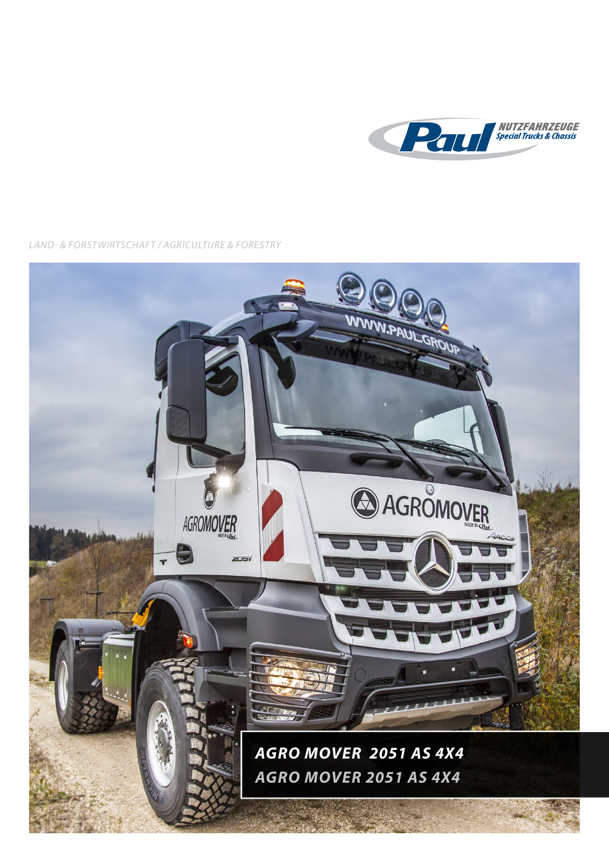

*LAND- & FORSTWIRTSCHAFT / AGRICULTURE & FORESTRY*